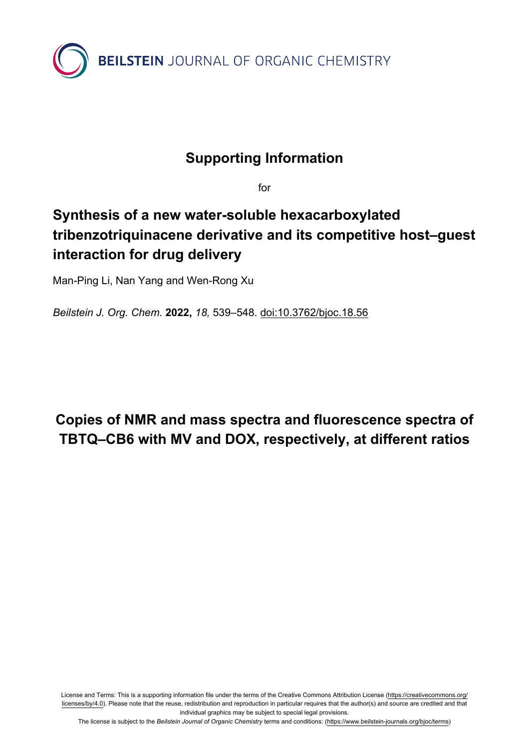

## **Supporting Information**

for

## **Synthesis of a new water-soluble hexacarboxylated tribenzotriquinacene derivative and its competitive host–guest interaction for drug delivery**

Man-Ping Li, Nan Yang and Wen-Rong Xu

*Beilstein J. Org. Chem.* **2022,** *18,* 539–548. [doi:10.3762/bjoc.18.56](https://doi.org/10.3762%2Fbjoc.18.56)

## **Copies of NMR and mass spectra and fluorescence spectra of TBTQ–CB6 with MV and DOX, respectively, at different ratios**

License and Terms: This is a supporting information file under the terms of the Creative Commons Attribution License [\(https://creativecommons.org/](https://creativecommons.org/licenses/by/4.0) [licenses/by/4.0\)](https://creativecommons.org/licenses/by/4.0). Please note that the reuse, redistribution and reproduction in particular requires that the author(s) and source are credited and that individual graphics may be subject to special legal provisions.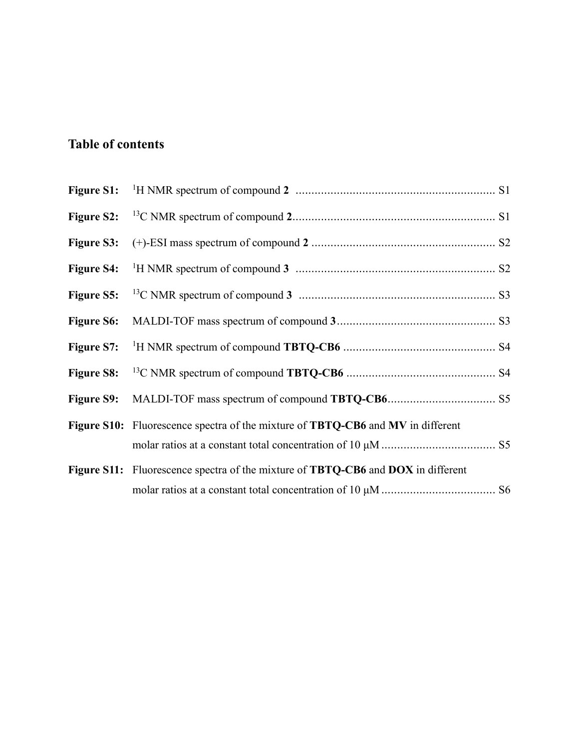## **Table of contents**

| <b>Figure S6:</b> |                                                                                  |
|-------------------|----------------------------------------------------------------------------------|
|                   |                                                                                  |
| <b>Figure S8:</b> |                                                                                  |
|                   |                                                                                  |
|                   | Figure S10: Fluorescence spectra of the mixture of TBTQ-CB6 and MV in different  |
|                   |                                                                                  |
|                   | Figure S11: Fluorescence spectra of the mixture of TBTQ-CB6 and DOX in different |
|                   |                                                                                  |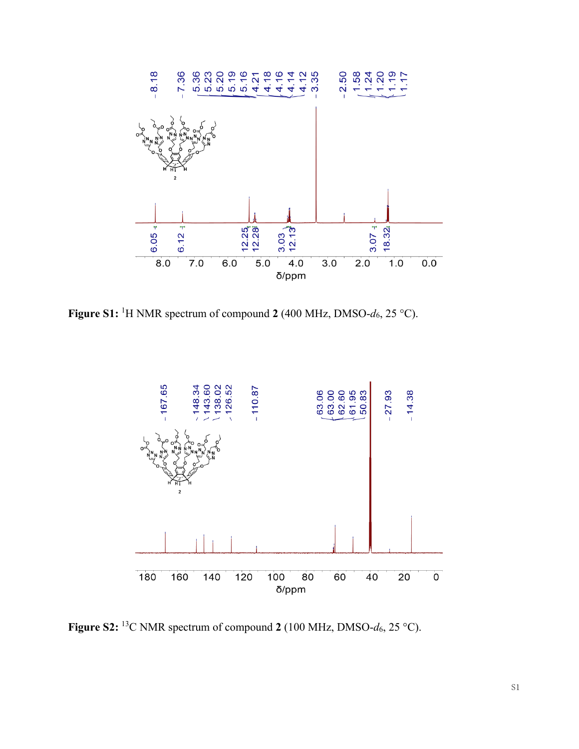

**Figure S1:** <sup>1</sup>H NMR spectrum of compound 2 (400 MHz, DMSO- $d_6$ , 25 °C).



**Figure S2:** <sup>13</sup>C NMR spectrum of compound **2** (100 MHz, DMSO- $d_6$ , 25 °C).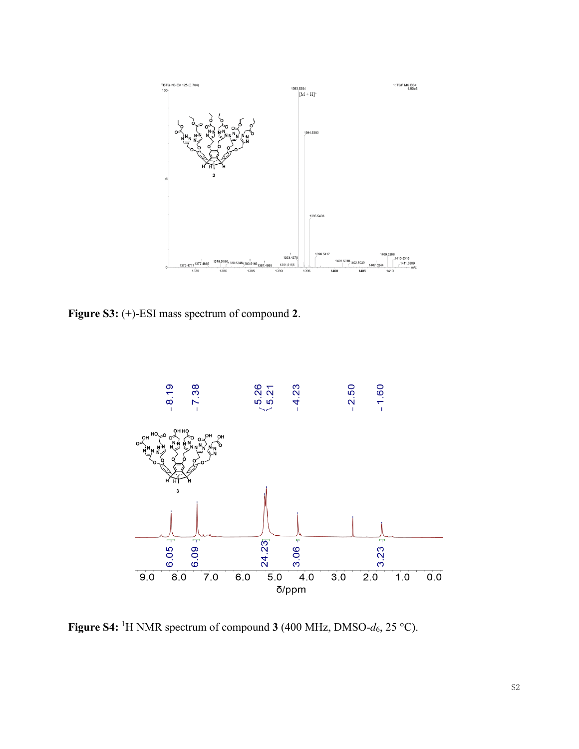

**Figure S3:** (+)-ESI mass spectrum of compound **2**.



**Figure S4:** <sup>1</sup>H NMR spectrum of compound **3** (400 MHz, DMSO- $d_6$ , 25 °C).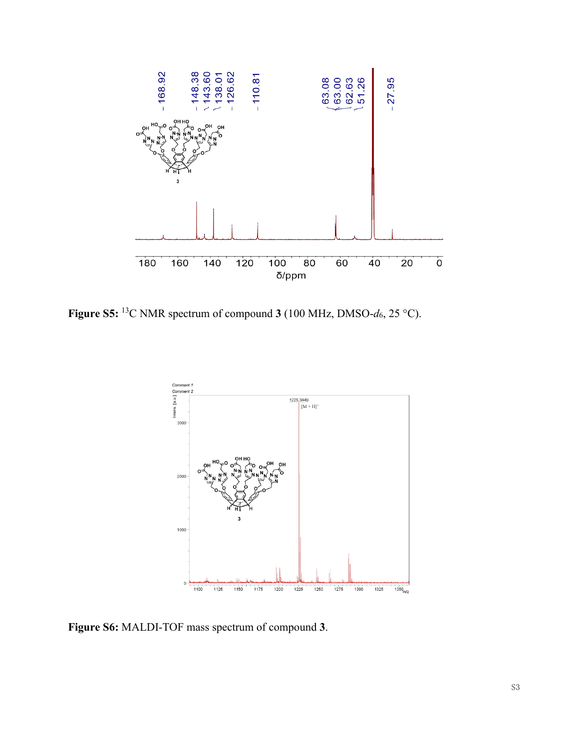

**Figure S5:** <sup>13</sup>C NMR spectrum of compound **3** (100 MHz, DMSO- $d_6$ , 25 °C).



**Figure S6:** MALDI-TOF mass spectrum of compound **3**.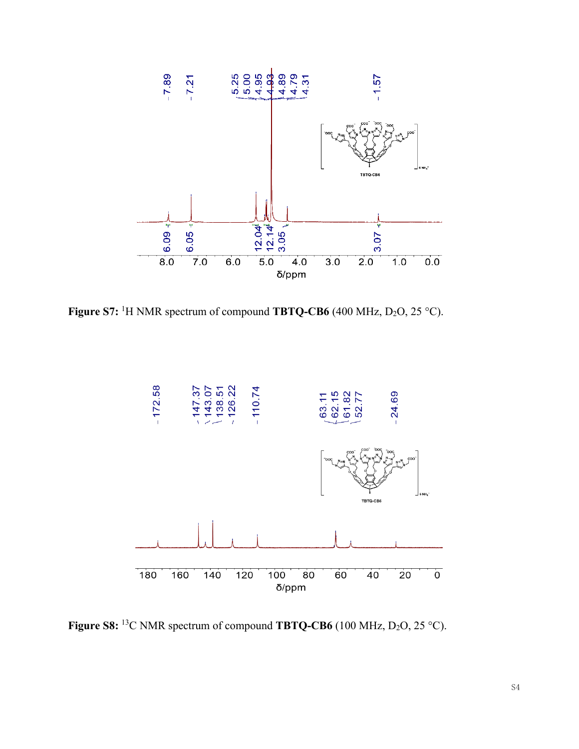

**Figure S7:** <sup>1</sup>H NMR spectrum of compound **TBTQ-CB6** (400 MHz,  $D_2O$ , 25 °C).



**Figure S8:** <sup>13</sup>C NMR spectrum of compound **TBTQ-CB6** (100 MHz,  $D_2O$ , 25 °C).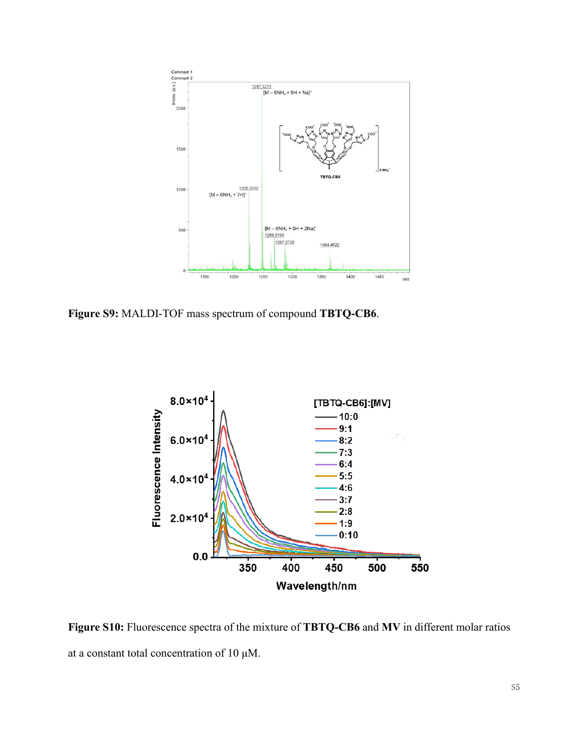

**Figure S9:** MALDI-TOF mass spectrum of compound **TBTQ-CB6**.



**Figure S10:** Fluorescence spectra of the mixture of **TBTQ-CB6** and **MV** in different molar ratios at a constant total concentration of 10 μM.